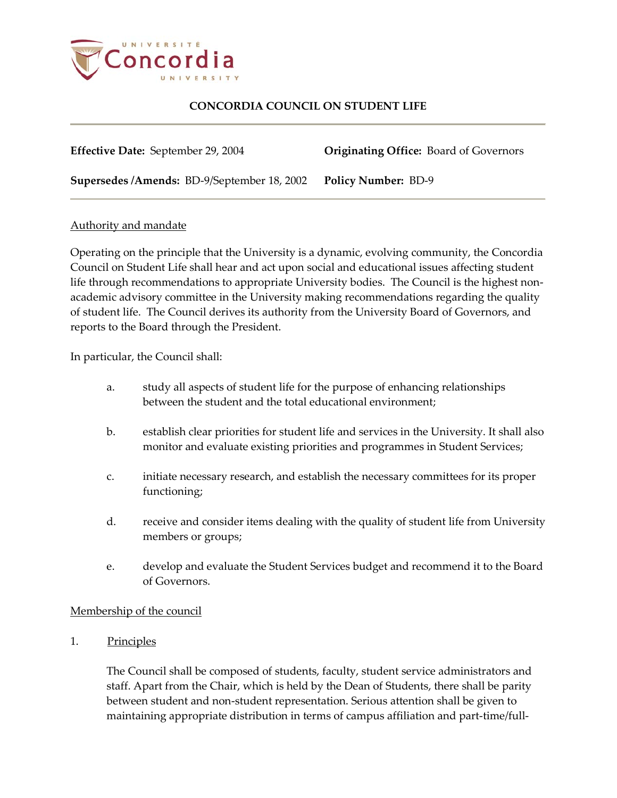

# **CONCORDIA COUNCIL ON STUDENT LIFE**

**Effective Date:** September 29, 2004 **Originating Office:** Board of Governors

**Supersedes /Amends:** BD-9/September 18, 2002 **Policy Number:** BD-9

### Authority and mandate

Operating on the principle that the University is a dynamic, evolving community, the Concordia Council on Student Life shall hear and act upon social and educational issues affecting student life through recommendations to appropriate University bodies. The Council is the highest nonacademic advisory committee in the University making recommendations regarding the quality of student life. The Council derives its authority from the University Board of Governors, and reports to the Board through the President.

In particular, the Council shall:

- a. study all aspects of student life for the purpose of enhancing relationships between the student and the total educational environment;
- b. establish clear priorities for student life and services in the University. It shall also monitor and evaluate existing priorities and programmes in Student Services;
- c. initiate necessary research, and establish the necessary committees for its proper functioning;
- d. receive and consider items dealing with the quality of student life from University members or groups;
- e. develop and evaluate the Student Services budget and recommend it to the Board of Governors.

## Membership of the council

1. Principles

 The Council shall be composed of students, faculty, student service administrators and staff. Apart from the Chair, which is held by the Dean of Students, there shall be parity between student and non-student representation. Serious attention shall be given to maintaining appropriate distribution in terms of campus affiliation and part-time/full-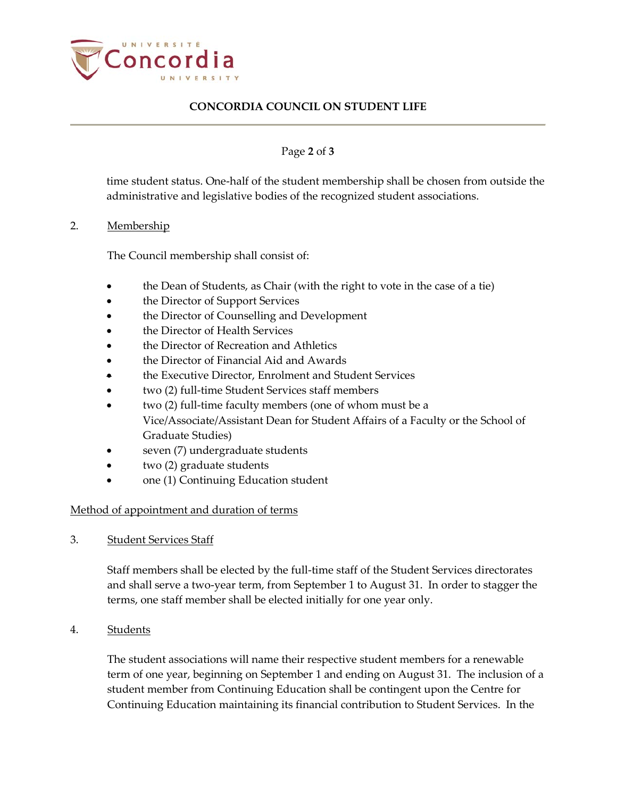

# **CONCORDIA COUNCIL ON STUDENT LIFE**

### Page **2** of **3**

time student status. One-half of the student membership shall be chosen from outside the administrative and legislative bodies of the recognized student associations.

## 2. Membership

The Council membership shall consist of:

- the Dean of Students, as Chair (with the right to vote in the case of a tie)
- the Director of Support Services
- the Director of Counselling and Development
- the Director of Health Services
- the Director of Recreation and Athletics
- the Director of Financial Aid and Awards
- the Executive Director, Enrolment and Student Services
- two (2) full-time Student Services staff members
- two (2) full-time faculty members (one of whom must be a Vice/Associate/Assistant Dean for Student Affairs of a Faculty or the School of Graduate Studies)
- seven (7) undergraduate students
- two (2) graduate students
- one (1) Continuing Education student

## Method of appointment and duration of terms

3. Student Services Staff

Staff members shall be elected by the full-time staff of the Student Services directorates and shall serve a two-year term, from September 1 to August 31. In order to stagger the terms, one staff member shall be elected initially for one year only.

4. Students

The student associations will name their respective student members for a renewable term of one year, beginning on September 1 and ending on August 31. The inclusion of a student member from Continuing Education shall be contingent upon the Centre for Continuing Education maintaining its financial contribution to Student Services. In the